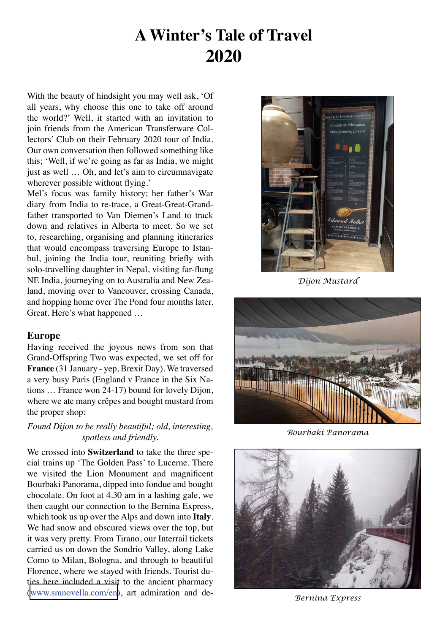# **A Winter's Tale of Travel 2020**

With the beauty of hindsight you may well ask, 'Of all years, why choose this one to take off around the world?' Well, it started with an invitation to join friends from the American Transferware Collectors' Club on their February 2020 tour of India. Our own conversation then followed something like this; 'Well, if we're going as far as India, we might just as well … Oh, and let's aim to circumnavigate wherever possible without flying.'

Mel's focus was family history; her father's War diary from India to re-trace, a Great-Great-Grandfather transported to Van Diemen's Land to track down and relatives in Alberta to meet. So we set to, researching, organising and planning itineraries that would encompass traversing Europe to Istanbul, joining the India tour, reuniting briefly with solo-travelling daughter in Nepal, visiting far-flung NE India, journeying on to Australia and New Zealand, moving over to Vancouver, crossing Canada, and hopping home over The Pond four months later. Great. Here's what happened …

### **Europe**

Having received the joyous news from son that Grand-Offspring Two was expected, we set off for **France** (31 January - yep, Brexit Day). We traversed a very busy Paris (England v France in the Six Nations … France won 24-17) bound for lovely Dijon, where we ate many crêpes and bought mustard from the proper shop:

## *Found Dijon to be really beautiful; old, interesting, spotless and friendly.*

We crossed into **Switzerland** to take the three special trains up 'The Golden Pass' to Lucerne. There we visited the Lion Monument and magnificent Bourbaki Panorama, dipped into fondue and bought chocolate. On foot at 4.30 am in a lashing gale, we then caught our connection to the Bernina Express, which took us up over the Alps and down into **Italy**. We had snow and obscured views over the top, but it was very pretty. From Tirano, our Interrail tickets carried us on down the Sondrio Valley, along Lake Como to Milan, Bologna, and through to beautiful Florence, where we stayed with friends. Tourist duties here included a visit to the ancient pharmacy ([www.smnovella.com/en\)](www.smnovella.com/en), art admiration and de-



*Dijon Mustard*



*Bourbaki Panorama*



*Bernina Express*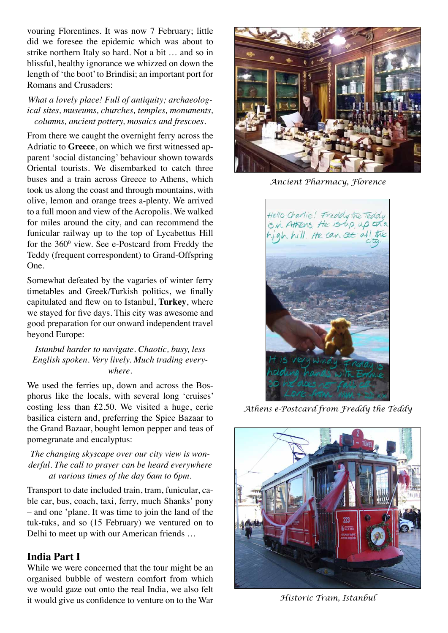vouring Florentines. It was now 7 February; little did we foresee the epidemic which was about to strike northern Italy so hard. Not a bit … and so in blissful, healthy ignorance we whizzed on down the length of 'the boot' to Brindisi; an important port for Romans and Crusaders:

#### *What a lovely place! Full of antiquity; archaeological sites, museums, churches, temples, monuments, columns, ancient pottery, mosaics and frescoes.*

From there we caught the overnight ferry across the Adriatic to **Greece**, on which we first witnessed apparent 'social distancing' behaviour shown towards Oriental tourists. We disembarked to catch three buses and a train across Greece to Athens, which took us along the coast and through mountains, with olive, lemon and orange trees a-plenty. We arrived to a full moon and view of the Acropolis. We walked for miles around the city, and can recommend the funicular railway up to the top of Lycabettus Hill for the  $360^{\circ}$  view. See e-Postcard from Freddy the Teddy (frequent correspondent) to Grand-Offspring One.

Somewhat defeated by the vagaries of winter ferry timetables and Greek/Turkish politics, we finally capitulated and flew on to Istanbul, **Turkey**, where we stayed for five days. This city was awesome and good preparation for our onward independent travel beyond Europe:

*Istanbul harder to navigate. Chaotic, busy, less English spoken. Very lively. Much trading everywhere.*

We used the ferries up, down and across the Bosphorus like the locals, with several long 'cruises' costing less than £2.50. We visited a huge, eerie basilica cistern and, preferring the Spice Bazaar to the Grand Bazaar, bought lemon pepper and teas of pomegranate and eucalyptus:

#### *The changing skyscape over our city view is wonderful. The call to prayer can be heard everywhere at various times of the day 6am to 6pm.*

Transport to date included train, tram, funicular, cable car, bus, coach, taxi, ferry, much Shanks' pony – and one 'plane. It was time to join the land of the tuk-tuks, and so (15 February) we ventured on to Delhi to meet up with our American friends …

## **India Part I**

While we were concerned that the tour might be an organised bubble of western comfort from which we would gaze out onto the real India, we also felt it would give us confidence to venture on to the War



*Ancient Pharmacy, Florence*



*Athens e-Postcard from Freddy the Teddy*



*Historic Tram, Istanbul*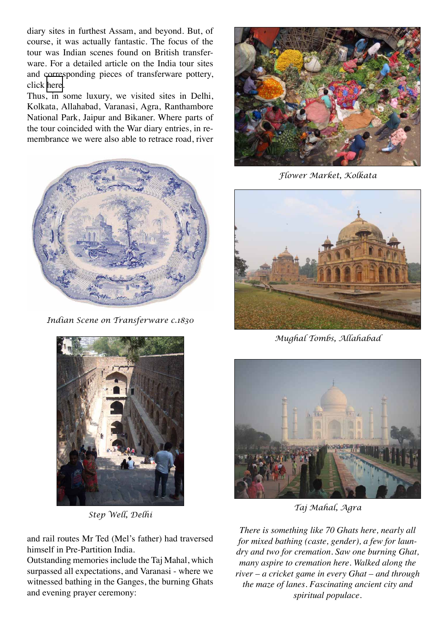diary sites in furthest Assam, and beyond. But, of course, it was actually fantastic. The focus of the tour was Indian scenes found on British transferware. For a detailed article on the India tour sites and corresponding pieces of transferware pottery, click [here.](http://www.reynardine.co.uk/IndiaSack.pdf)

Thus, in some luxury, we visited sites in Delhi, Kolkata, Allahabad, Varanasi, Agra, Ranthambore National Park, Jaipur and Bikaner. Where parts of the tour coincided with the War diary entries, in remembrance we were also able to retrace road, river



*Indian Scene on Transferware c.1830* 



*Step Well, Delhi*

and rail routes Mr Ted (Mel's father) had traversed himself in Pre-Partition India.

Outstanding memories include the Taj Mahal, which surpassed all expectations, and Varanasi - where we witnessed bathing in the Ganges, the burning Ghats and evening prayer ceremony:



*Flower Market, Kolkata*



*Mughal Tombs, Allahabad*



*Taj Mahal, Agra*

*There is something like 70 Ghats here, nearly all for mixed bathing (caste, gender), a few for laundry and two for cremation. Saw one burning Ghat, many aspire to cremation here. Walked along the river – a cricket game in every Ghat – and through the maze of lanes. Fascinating ancient city and spiritual populace.*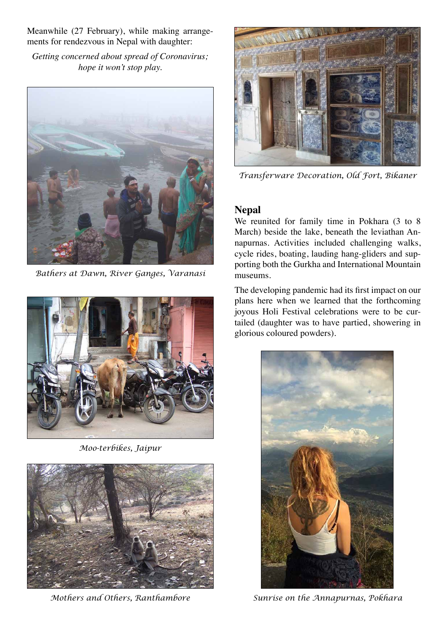Meanwhile (27 February), while making arrangements for rendezvous in Nepal with daughter:

*Getting concerned about spread of Coronavirus; hope it won't stop play.*



*Bathers at Dawn, River Ganges, Varanasi*



*Moo-terbikes, Jaipur*



*Mothers and Others, Ranthambore*



*Transferware Decoration, Old Fort, Bikaner*

# **Nepal**

We reunited for family time in Pokhara (3 to 8 March) beside the lake, beneath the leviathan Annapurnas. Activities included challenging walks, cycle rides, boating, lauding hang-gliders and supporting both the Gurkha and International Mountain museums.

The developing pandemic had its first impact on our plans here when we learned that the forthcoming joyous Holi Festival celebrations were to be curtailed (daughter was to have partied, showering in glorious coloured powders).



*Sunrise on the Annapurnas, Pokhara*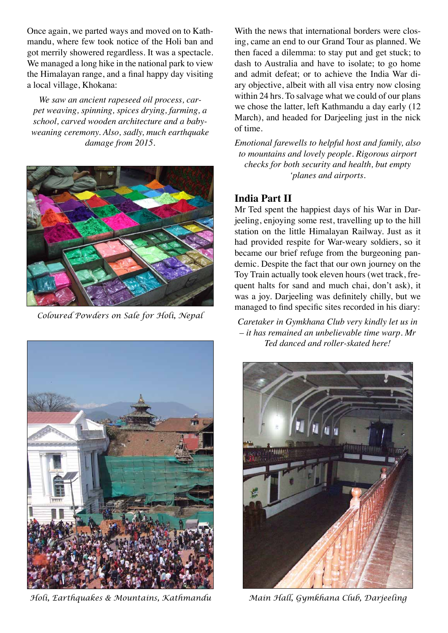Once again, we parted ways and moved on to Kathmandu, where few took notice of the Holi ban and got merrily showered regardless. It was a spectacle. We managed a long hike in the national park to view the Himalayan range, and a final happy day visiting a local village, Khokana:

*We saw an ancient rapeseed oil process, carpet weaving, spinning, spices drying, farming, a school, carved wooden architecture and a babyweaning ceremony. Also, sadly, much earthquake damage from 2015.*



*Coloured Powders on Sale for Holi, Nepal*



*Holi, Earthquakes & Mountains, Kathmandu* 

With the news that international borders were closing, came an end to our Grand Tour as planned. We then faced a dilemma: to stay put and get stuck; to dash to Australia and have to isolate; to go home and admit defeat; or to achieve the India War diary objective, albeit with all visa entry now closing within 24 hrs. To salvage what we could of our plans we chose the latter, left Kathmandu a day early (12 March), and headed for Darjeeling just in the nick of time.

*Emotional farewells to helpful host and family, also to mountains and lovely people. Rigorous airport checks for both security and health, but empty 'planes and airports.*

# **India Part II**

Mr Ted spent the happiest days of his War in Darjeeling, enjoying some rest, travelling up to the hill station on the little Himalayan Railway. Just as it had provided respite for War-weary soldiers, so it became our brief refuge from the burgeoning pandemic. Despite the fact that our own journey on the Toy Train actually took eleven hours (wet track, frequent halts for sand and much chai, don't ask), it was a joy. Darjeeling was definitely chilly, but we managed to find specific sites recorded in his diary:

*Caretaker in Gymkhana Club very kindly let us in – it has remained an unbelievable time warp. Mr Ted danced and roller-skated here!*



*Main Hall, Gymkhana Club, Darjeeling*